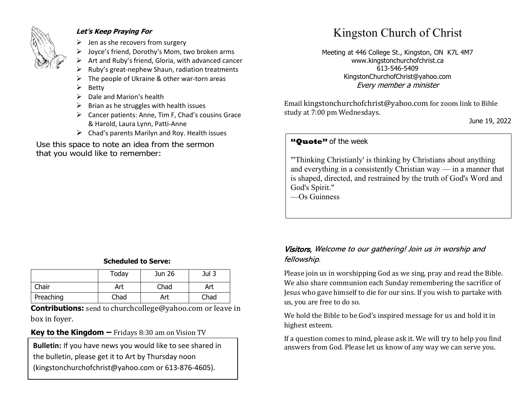

#### **Let's Keep Praying For**

- $\triangleright$  Jen as she recovers from surgery
- ➢ Joyce's friend, Dorothy's Mom, two broken arms
- ➢ Art and Ruby's friend, Gloria, with advanced cancer
- ➢ Ruby's great-nephew Shaun, radiation treatments
- The people of Ukraine & other war-torn areas
- ➢ Betty
- $\triangleright$  Dale and Marion's health
- $\triangleright$  Brian as he struggles with health issues
- ➢ Cancer patients: Anne, Tim F, Chad's cousins Grace & Harold, Laura Lynn, Patti-Anne
- $\triangleright$  Chad's parents Marilyn and Roy. Health issues

Use this space to note an idea from the sermon that you would like to remember:

# Kingston Church of Christ

Meeting at 446 College St., Kingston, ON K7L 4M7 www.kingstonchurchofchrist.ca 613-546-5409 KingstonChurchofChrist@yahoo.com Every member a minister

Email [kingstonchurchofchrist@yahoo.com](mailto:kingstonchurchofchrist@yahoo.com) for zoom link to Bible study at 7:00 pm Wednesdays.

June 19, 2022

## **"Quote"** of the week **"Quote"** of the week

honor, and pays with disgrace; he promises pleasure, and pays "Thinking Christianly' is thinking by Christians about anything and everything in a consistently Christian way — in a manner that is shaped, directed, and restrained by the truth of God's Word and God's Spirit."

—Os Guinness

#### **Scheduled to Serve:**

|           | Today | Jun 26 | Jul 3 |
|-----------|-------|--------|-------|
| Chair     | Art   | Chad   | Art   |
| Preaching | Chad  | Art    | Chad  |

**Contributions:** send to [churchcollege@yahoo.com](mailto:churchcollege@yahoo.com) or leave in box in foyer.

#### **Key to the Kingdom –** Fridays 8:30 am on Vision TV

the bulletin, please get it to Art by Thursday noon (kingstonchurchofchrist@yahoo.com or 613-876-4605).

#### Visitors, Welcome to our gathering! Join us in worship and fellowship.

Please join us in worshipping God as we sing, pray and read the Bible. We also share communion each Sunday remembering the sacrifice of Jesus who gave himself to die for our sins. If you wish to partake with us, you are free to do so.

We hold the Bible to be God's inspired message for us and hold it in highest esteem.

If a question comes to mind, please ask it. We will try to help you find **Bulletin:** If you have news you would like to see shared in answers from God. Please let us know of any way we can serve you.